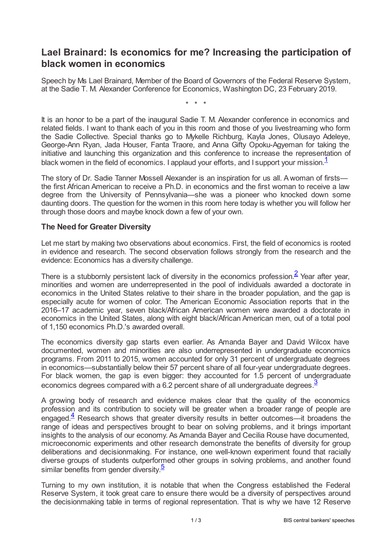## **Lael Brainard: Is economics for me? Increasing the participation of black women in economics**

Speech by Ms Lael Brainard, Member of the Board of Governors of the Federal Reserve System, at the Sadie T. M. Alexander Conference for Economics, Washington DC, 23 February 2019.

<span id="page-0-1"></span><span id="page-0-0"></span>\* \* \*

It is an honor to be a part of the inaugural Sadie T. M. Alexander conference in economics and related fields. I want to thank each of you in this room and those of you livestreaming who form the Sadie Collective. Special thanks go to Mykelle Richburg, Kayla Jones, Olusayo Adeleye, George-Ann Ryan, Jada Houser, Fanta Traore, and Anna Gifty Opoku-Agyeman for taking the initiative and launching this organization and this conference to increase the representation of black women in the field of economics. I applaud your efforts, and I support your mission.<sup>[1](#page-1-0)</sup>

The story of Dr. Sadie Tanner Mossell Alexander is an inspiration for us all. Awoman of firsts the first African American to receive a Ph.D. in economics and the first woman to receive a law degree from the University of Pennsylvania—she was a pioneer who knocked down some daunting doors. The question for the women in this room here today is whether you will follow her through those doors and maybe knock down a few of your own.

## **The Need for Greater Diversity**

Let me start by making two observations about economics. First, the field of economics is rooted in evidence and research. The second observation follows strongly from the research and the evidence: Economics has a diversity challenge.

There is a stubbornly persistent lack of diversity in the economics profession. $\frac{2}{3}$  $\frac{2}{3}$  $\frac{2}{3}$  Year after year, minorities and women are underrepresented in the pool of individuals awarded a doctorate in economics in the United States relative to their share in the broader population, and the gap is especially acute for women of color. The American Economic Association reports that in the 2016–17 academic year, seven black/African American women were awarded a doctorate in economics in the United States, along with eight black/African American men, out of a total pool of 1,150 economics Ph.D.'s awarded overall.

The economics diversity gap starts even earlier. As Amanda Bayer and David Wilcox have documented, women and minorities are also underrepresented in undergraduate economics programs. From 2011 to 2015, women accounted for only 31 percent of undergraduate degrees in economics—substantially below their 57 percent share of all four-year undergraduate degrees. For black women, the gap is even bigger: they accounted for 1.5 percent of undergraduate economics degrees compared with a 6.2 percent share of all undergraduate degrees  $\frac{3}{2}$  $\frac{3}{2}$  $\frac{3}{2}$ 

<span id="page-0-3"></span><span id="page-0-2"></span>A growing body of research and evidence makes clear that the quality of the economics profession and its contribution to society will be greater when a broader range of people are engaged.<sup>[4](#page-2-2)</sup> Research shows that greater diversity results in better outcomes—it broadens the range of ideas and perspectives brought to bear on solving problems, and it brings important insights to the analysis of our economy. As Amanda Bayer and Cecilia Rouse have documented, microeconomic experiments and other research demonstrate the benefits of diversity for group deliberations and decisionmaking. For instance, one well-known experiment found that racially diverse groups of students outperformed other groups in solving problems, and another found similar benefits from gender diversity.<sup>[5](#page-2-3)</sup>

<span id="page-0-4"></span>Turning to my own institution, it is notable that when the Congress established the Federal Reserve System, it took great care to ensure there would be a diversity of perspectives around the decisionmaking table in terms of regional representation. That is why we have 12 Reserve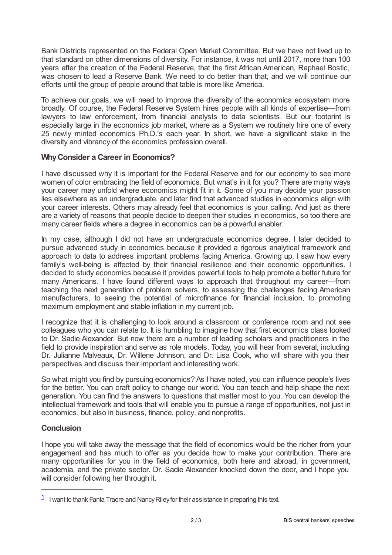Bank Districts represented on the Federal Open Market Committee. But we have not lived up to that standard on other dimensions of diversity. For instance, it was not until 2017, more than 100 years after the creation of the Federal Reserve, that the first African American, Raphael Bostic, was chosen to lead a Reserve Bank. We need to do better than that, and we will continue our efforts until the group of people around that table is more like America.

To achieve our goals, we will need to improve the diversity of the economics ecosystem more broadly. Of course, the Federal Reserve System hires people with all kinds of expertise—from lawyers to law enforcement, from financial analysts to data scientists. But our footprint is especially large in the economics job market, where as a System we routinely hire one of every 25 newly minted economics Ph.D.'s each year. In short, we have a significant stake in the diversity and vibrancy of the economics profession overall.

## **WhyConsider a Career in Economics?**

I have discussed why it is important for the Federal Reserve and for our economy to see more women of color embracing the field of economics. But what's in it for you? There are many ways your career may unfold where economics might fit in it. Some of you may decide your passion lies elsewhere as an undergraduate, and later find that advanced studies in economics align with your career interests. Others may already feel that economics is your calling. And just as there are a variety of reasons that people decide to deepen their studies in economics, so too there are many career fields where a degree in economics can be a powerful enabler.

In my case, although I did not have an undergraduate economics degree, I later decided to pursue advanced study in economics because it provided a rigorous analytical framework and approach to data to address important problems facing America. Growing up, I saw how every family's well-being is affected by their financial resilience and their economic opportunities. I decided to study economics because it provides powerful tools to help promote a better future for many Americans. I have found different ways to approach that throughout my career—from teaching the next generation of problem solvers, to assessing the challenges facing American manufacturers, to seeing the potential of microfinance for financial inclusion, to promoting maximum employment and stable inflation in my current job.

I recognize that it is challenging to look around a classroom or conference room and not see colleagues who you can relate to. It is humbling to imagine how that first economics class looked to Dr. Sadie Alexander. But now there are a number of leading scholars and practitioners in the field to provide inspiration and serve as role models. Today, you will hear from several, including Dr. Julianne Malveaux, Dr. Willene Johnson, and Dr. Lisa Cook, who will share with you their perspectives and discuss their important and interesting work.

So what might you find by pursuing economics? As I have noted, you can influence people's lives for the better. You can craft policy to change our world. You can teach and help shape the next generation. You can find the answers to questions that matter most to you. You can develop the intellectual framework and tools that will enable you to pursue a range of opportunities, not just in economics, but also in business, finance, policy, and nonprofits.

## **Conclusion**

I hope you will take away the message that the field of economics would be the richer from your engagement and has much to offer as you decide how to make your contribution. There are many opportunities for you in the field of economics, both here and abroad, in government, academia, and the private sector. Dr. Sadie Alexander knocked down the door, and I hope you will consider following her through it.

<span id="page-1-0"></span> $1$  I want to thank Fanta Traore and Nancy Riley for their assistance in preparing this text.